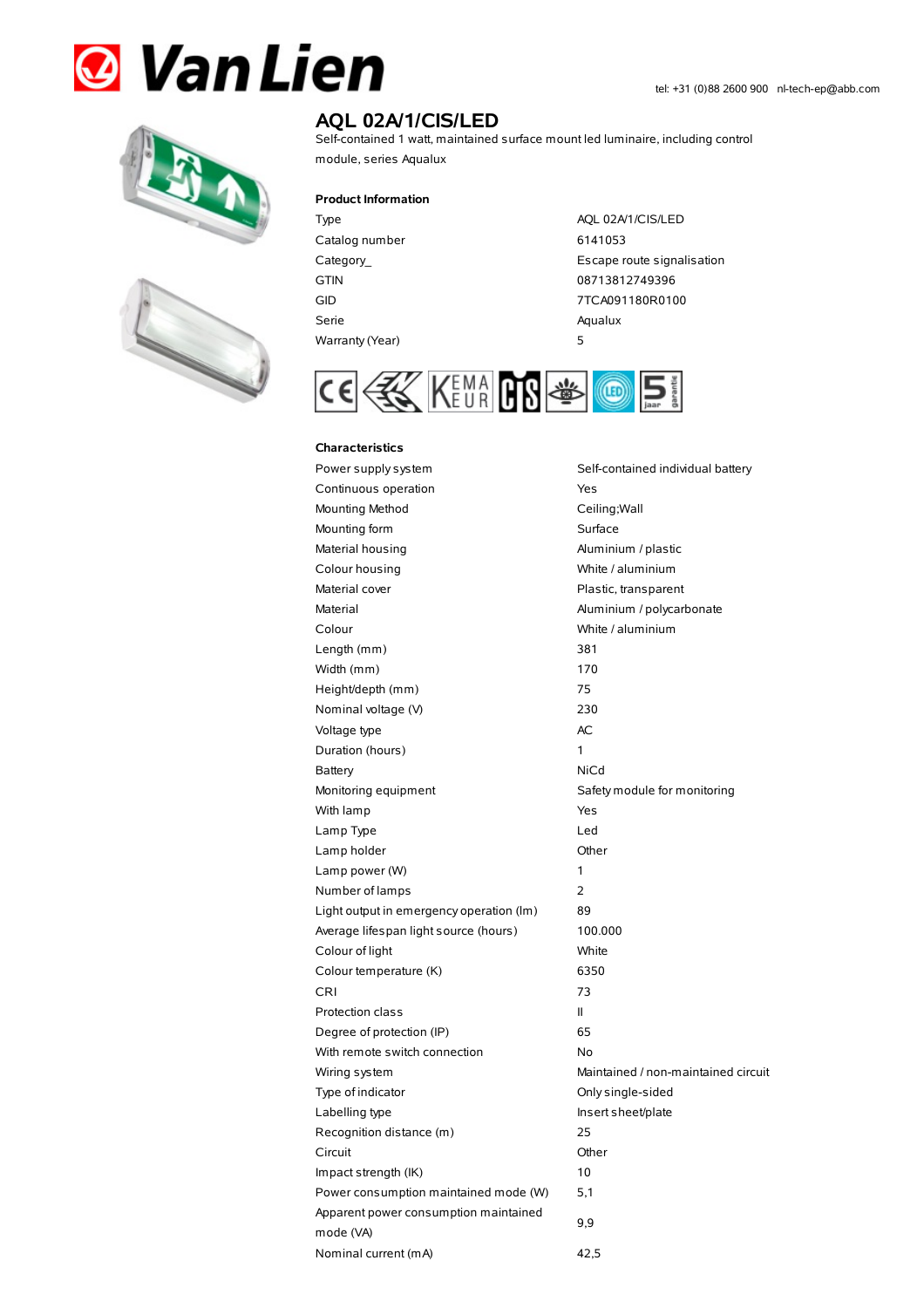# **& Van Lien**





## **AQL 02A/1/CIS/LED**

Self-contained 1 watt, maintained surface mount led luminaire, including control module, series Aqualux

#### **Product Information**

Type AQL 02A/1/CIS/LED Catalog number 6141053 GTIN 08713812749396 Serie Aqualux Warranty(Year) 5

Category\_ example and the control of the Escape route signalisation GID 7TCA091180R0100



### **Characteristics**

Power supply system Self-contained individual battery Continuous operation The Continuous operation Mounting Method Ceiling; Wall Mounting form **Surface** Material housing **Aluminium / plastic** Colour housing White / aluminium Material cover **Plastic, transparent** Material Material Aluminium / polycarbonate Colour White / aluminium Length (mm) 381 Width (mm) 170 Height/depth (mm) 75 Nominal voltage (V) 230 Voltage type and a set of the AC Duration (hours) 1 Battery NiCd Monitoring equipment Safety module for monitoring With lamp **Yes** Lamp Type Led Lamp holder **Community** Chern Community Community Chern Chern Chern Chern Chern Chern Chern Chern Chern Chern Chern Chern Chern Chern Chern Chern Chern Chern Chern Chern Chern Chern Chern Chern Chern Chern Chern Chern Cher Lamp power (W) 1 Number of lamps 2 Light output in emergency operation (lm) 89 Average lifespan light source (hours) 100.000 Colour of light White Colour temperature (K) 6350 CRI 73 Protection class II Degree of protection (IP) 65 With remote switch connection No Wiring system **Maintained / non-maintained circuit** Type of indicator Christian Conlysingle-sided Labelling type **Insert sheet/plate** Recognition distance (m) 25 Circuit Other Impact strength (IK) 10 Power consumption maintained mode (W) 5,1 Apparent power consumption maintained mode (VA) 9,9 Nominal current (mA) 42,5